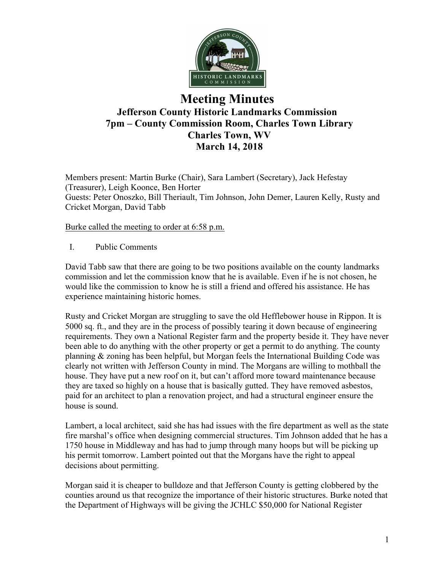

# **Meeting Minutes Jefferson County Historic Landmarks Commission 7pm – County Commission Room, Charles Town Library Charles Town, WV March 14, 2018**

Members present: Martin Burke (Chair), Sara Lambert (Secretary), Jack Hefestay (Treasurer), Leigh Koonce, Ben Horter Guests: Peter Onoszko, Bill Theriault, Tim Johnson, John Demer, Lauren Kelly, Rusty and Cricket Morgan, David Tabb

Burke called the meeting to order at 6:58 p.m.

I. Public Comments

David Tabb saw that there are going to be two positions available on the county landmarks commission and let the commission know that he is available. Even if he is not chosen, he would like the commission to know he is still a friend and offered his assistance. He has experience maintaining historic homes.

Rusty and Cricket Morgan are struggling to save the old Hefflebower house in Rippon. It is 5000 sq. ft., and they are in the process of possibly tearing it down because of engineering requirements. They own a National Register farm and the property beside it. They have never been able to do anything with the other property or get a permit to do anything. The county planning & zoning has been helpful, but Morgan feels the International Building Code was clearly not written with Jefferson County in mind. The Morgans are willing to mothball the house. They have put a new roof on it, but can't afford more toward maintenance because they are taxed so highly on a house that is basically gutted. They have removed asbestos, paid for an architect to plan a renovation project, and had a structural engineer ensure the house is sound.

Lambert, a local architect, said she has had issues with the fire department as well as the state fire marshal's office when designing commercial structures. Tim Johnson added that he has a 1750 house in Middleway and has had to jump through many hoops but will be picking up his permit tomorrow. Lambert pointed out that the Morgans have the right to appeal decisions about permitting.

Morgan said it is cheaper to bulldoze and that Jefferson County is getting clobbered by the counties around us that recognize the importance of their historic structures. Burke noted that the Department of Highways will be giving the JCHLC \$50,000 for National Register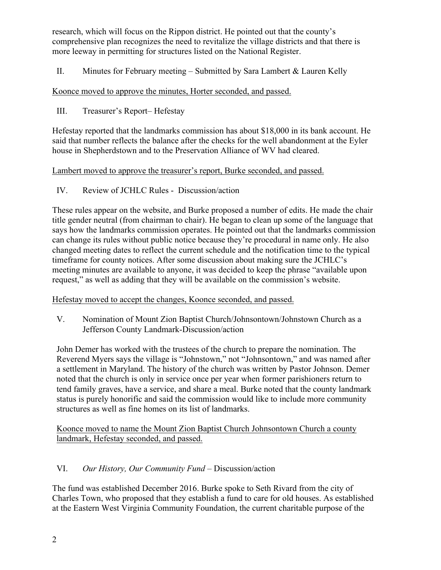research, which will focus on the Rippon district. He pointed out that the county's comprehensive plan recognizes the need to revitalize the village districts and that there is more leeway in permitting for structures listed on the National Register.

II. Minutes for February meeting – Submitted by Sara Lambert  $\&$  Lauren Kelly

## Koonce moved to approve the minutes, Horter seconded, and passed.

III. Treasurer's Report– Hefestay

Hefestay reported that the landmarks commission has about \$18,000 in its bank account. He said that number reflects the balance after the checks for the well abandonment at the Eyler house in Shepherdstown and to the Preservation Alliance of WV had cleared.

### Lambert moved to approve the treasurer's report, Burke seconded, and passed.

IV. Review of JCHLC Rules - Discussion/action

These rules appear on the website, and Burke proposed a number of edits. He made the chair title gender neutral (from chairman to chair). He began to clean up some of the language that says how the landmarks commission operates. He pointed out that the landmarks commission can change its rules without public notice because they're procedural in name only. He also changed meeting dates to reflect the current schedule and the notification time to the typical timeframe for county notices. After some discussion about making sure the JCHLC's meeting minutes are available to anyone, it was decided to keep the phrase "available upon request," as well as adding that they will be available on the commission's website.

### Hefestay moved to accept the changes, Koonce seconded, and passed.

V. Nomination of Mount Zion Baptist Church/Johnsontown/Johnstown Church as a Jefferson County Landmark-Discussion/action

John Demer has worked with the trustees of the church to prepare the nomination. The Reverend Myers says the village is "Johnstown," not "Johnsontown," and was named after a settlement in Maryland. The history of the church was written by Pastor Johnson. Demer noted that the church is only in service once per year when former parishioners return to tend family graves, have a service, and share a meal. Burke noted that the county landmark status is purely honorific and said the commission would like to include more community structures as well as fine homes on its list of landmarks.

Koonce moved to name the Mount Zion Baptist Church Johnsontown Church a county landmark, Hefestay seconded, and passed.

## VI. *Our History, Our Community Fund* – Discussion/action

The fund was established December 2016. Burke spoke to Seth Rivard from the city of Charles Town, who proposed that they establish a fund to care for old houses. As established at the Eastern West Virginia Community Foundation, the current charitable purpose of the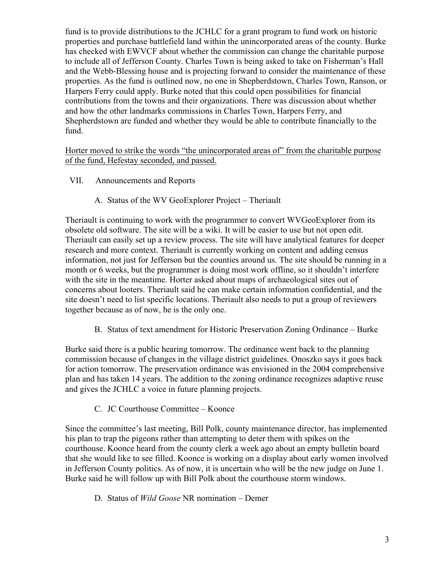fund is to provide distributions to the JCHLC for a grant program to fund work on historic properties and purchase battlefield land within the unincorporated areas of the county. Burke has checked with EWVCF about whether the commission can change the charitable purpose to include all of Jefferson County. Charles Town is being asked to take on Fisherman's Hall and the Webb-Blessing house and is projecting forward to consider the maintenance of these properties. As the fund is outlined now, no one in Shepherdstown, Charles Town, Ranson, or Harpers Ferry could apply. Burke noted that this could open possibilities for financial contributions from the towns and their organizations. There was discussion about whether and how the other landmarks commissions in Charles Town, Harpers Ferry, and Shepherdstown are funded and whether they would be able to contribute financially to the fund.

Horter moved to strike the words "the unincorporated areas of" from the charitable purpose of the fund, Hefestay seconded, and passed.

- VII. Announcements and Reports
	- A. Status of the WV GeoExplorer Project Theriault

Theriault is continuing to work with the programmer to convert WVGeoExplorer from its obsolete old software. The site will be a wiki. It will be easier to use but not open edit. Theriault can easily set up a review process. The site will have analytical features for deeper research and more context. Theriault is currently working on content and adding census information, not just for Jefferson but the counties around us. The site should be running in a month or 6 weeks, but the programmer is doing most work offline, so it shouldn't interfere with the site in the meantime. Horter asked about maps of archaeological sites out of concerns about looters. Theriault said he can make certain information confidential, and the site doesn't need to list specific locations. Theriault also needs to put a group of reviewers together because as of now, he is the only one.

B. Status of text amendment for Historic Preservation Zoning Ordinance – Burke

Burke said there is a public hearing tomorrow. The ordinance went back to the planning commission because of changes in the village district guidelines. Onoszko says it goes back for action tomorrow. The preservation ordinance was envisioned in the 2004 comprehensive plan and has taken 14 years. The addition to the zoning ordinance recognizes adaptive reuse and gives the JCHLC a voice in future planning projects.

C. JC Courthouse Committee – Koonce

Since the committee's last meeting, Bill Polk, county maintenance director, has implemented his plan to trap the pigeons rather than attempting to deter them with spikes on the courthouse. Koonce heard from the county clerk a week ago about an empty bulletin board that she would like to see filled. Koonce is working on a display about early women involved in Jefferson County politics. As of now, it is uncertain who will be the new judge on June 1. Burke said he will follow up with Bill Polk about the courthouse storm windows.

D. Status of *Wild Goose* NR nomination – Demer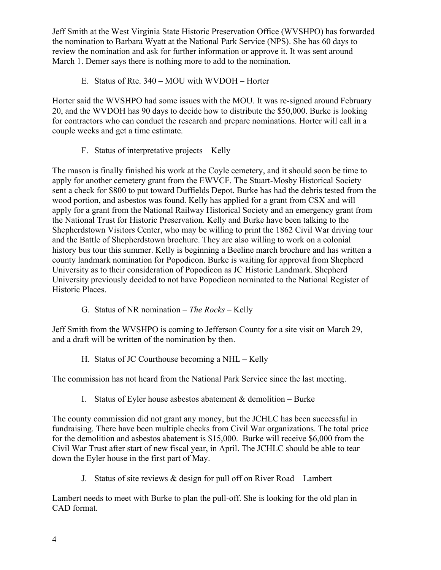Jeff Smith at the West Virginia State Historic Preservation Office (WVSHPO) has forwarded the nomination to Barbara Wyatt at the National Park Service (NPS). She has 60 days to review the nomination and ask for further information or approve it. It was sent around March 1. Demer says there is nothing more to add to the nomination.

E. Status of Rte. 340 – MOU with WVDOH – Horter

Horter said the WVSHPO had some issues with the MOU. It was re-signed around February 20, and the WVDOH has 90 days to decide how to distribute the \$50,000. Burke is looking for contractors who can conduct the research and prepare nominations. Horter will call in a couple weeks and get a time estimate.

F. Status of interpretative projects – Kelly

The mason is finally finished his work at the Coyle cemetery, and it should soon be time to apply for another cemetery grant from the EWVCF. The Stuart-Mosby Historical Society sent a check for \$800 to put toward Duffields Depot. Burke has had the debris tested from the wood portion, and asbestos was found. Kelly has applied for a grant from CSX and will apply for a grant from the National Railway Historical Society and an emergency grant from the National Trust for Historic Preservation. Kelly and Burke have been talking to the Shepherdstown Visitors Center, who may be willing to print the 1862 Civil War driving tour and the Battle of Shepherdstown brochure. They are also willing to work on a colonial history bus tour this summer. Kelly is beginning a Beeline march brochure and has written a county landmark nomination for Popodicon. Burke is waiting for approval from Shepherd University as to their consideration of Popodicon as JC Historic Landmark. Shepherd University previously decided to not have Popodicon nominated to the National Register of Historic Places.

G. Status of NR nomination – *The Rocks –* Kelly

Jeff Smith from the WVSHPO is coming to Jefferson County for a site visit on March 29, and a draft will be written of the nomination by then.

H. Status of JC Courthouse becoming a NHL – Kelly

The commission has not heard from the National Park Service since the last meeting.

I. Status of Eyler house asbestos abatement  $&$  demolition – Burke

The county commission did not grant any money, but the JCHLC has been successful in fundraising. There have been multiple checks from Civil War organizations. The total price for the demolition and asbestos abatement is \$15,000. Burke will receive \$6,000 from the Civil War Trust after start of new fiscal year, in April. The JCHLC should be able to tear down the Eyler house in the first part of May.

J. Status of site reviews & design for pull off on River Road – Lambert

Lambert needs to meet with Burke to plan the pull-off. She is looking for the old plan in CAD format.